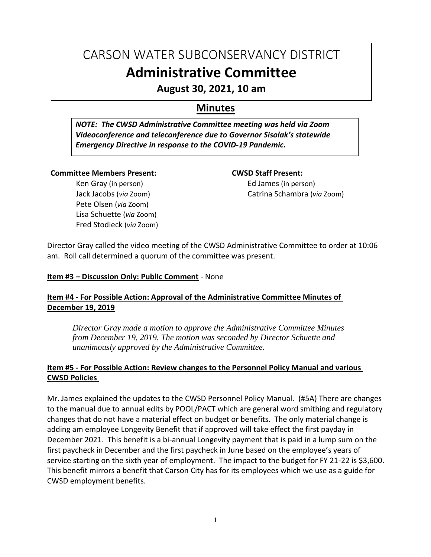# CARSON WATER SUBCONSERVANCY DISTRICT **Administrative Committee**

**August 30, 2021, 10 am**

# **Minutes**

*NOTE: The CWSD Administrative Committee meeting was held via Zoom Videoconference and teleconference due to Governor Sisolak's statewide Emergency Directive in response to the COVID-19 Pandemic.*

#### **Committee Members Present:**

Ken Gray (in person) Jack Jacobs (*via* Zoom) Pete Olsen (*via* Zoom) Lisa Schuette (*via* Zoom) Fred Stodieck (*via* Zoom) **CWSD Staff Present:** Ed James (in person) Catrina Schambra (*via* Zoom)

Director Gray called the video meeting of the CWSD Administrative Committee to order at 10:06 am. Roll call determined a quorum of the committee was present.

#### **Item #3 – Discussion Only: Public Comment** - None

### **Item #4 - For Possible Action: Approval of the Administrative Committee Minutes of December 19, 2019**

*Director Gray made a motion to approve the Administrative Committee Minutes from December 19, 2019. The motion was seconded by Director Schuette and unanimously approved by the Administrative Committee.*

# **Item #5 - For Possible Action: Review changes to the Personnel Policy Manual and various CWSD Policies**

Mr. James explained the updates to the CWSD Personnel Policy Manual. (#5A) There are changes to the manual due to annual edits by POOL/PACT which are general word smithing and regulatory changes that do not have a material effect on budget or benefits. The only material change is adding am employee Longevity Benefit that if approved will take effect the first payday in December 2021. This benefit is a bi-annual Longevity payment that is paid in a lump sum on the first paycheck in December and the first paycheck in June based on the employee's years of service starting on the sixth year of employment. The impact to the budget for FY 21-22 is \$3,600. This benefit mirrors a benefit that Carson City has for its employees which we use as a guide for CWSD employment benefits.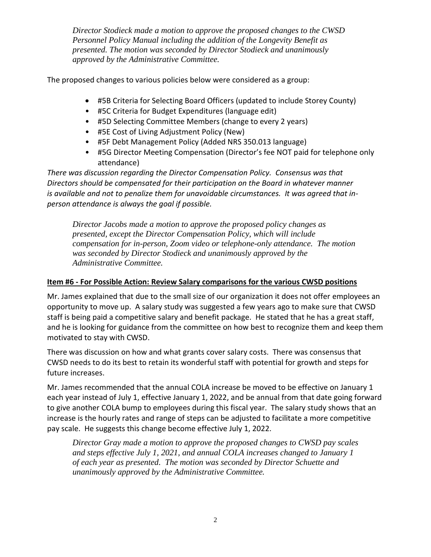*Director Stodieck made a motion to approve the proposed changes to the CWSD Personnel Policy Manual including the addition of the Longevity Benefit as presented. The motion was seconded by Director Stodieck and unanimously approved by the Administrative Committee.*

The proposed changes to various policies below were considered as a group:

- #5B Criteria for Selecting Board Officers (updated to include Storey County)
- #5C Criteria for Budget Expenditures (language edit)
- #5D Selecting Committee Members (change to every 2 years)
- #5E Cost of Living Adjustment Policy (New)
- #5F Debt Management Policy (Added NRS 350.013 language)
- #5G Director Meeting Compensation (Director's fee NOT paid for telephone only attendance)

*There was discussion regarding the Director Compensation Policy. Consensus was that Directors should be compensated for their participation on the Board in whatever manner is available and not to penalize them for unavoidable circumstances. It was agreed that inperson attendance is always the goal if possible.*

*Director Jacobs made a motion to approve the proposed policy changes as presented, except the Director Compensation Policy, which will include compensation for in-person, Zoom video or telephone-only attendance. The motion was seconded by Director Stodieck and unanimously approved by the Administrative Committee.*

# **Item #6 - For Possible Action: Review Salary comparisons for the various CWSD positions**

Mr. James explained that due to the small size of our organization it does not offer employees an opportunity to move up. A salary study was suggested a few years ago to make sure that CWSD staff is being paid a competitive salary and benefit package. He stated that he has a great staff, and he is looking for guidance from the committee on how best to recognize them and keep them motivated to stay with CWSD.

There was discussion on how and what grants cover salary costs. There was consensus that CWSD needs to do its best to retain its wonderful staff with potential for growth and steps for future increases.

Mr. James recommended that the annual COLA increase be moved to be effective on January 1 each year instead of July 1, effective January 1, 2022, and be annual from that date going forward to give another COLA bump to employees during this fiscal year. The salary study shows that an increase is the hourly rates and range of steps can be adjusted to facilitate a more competitive pay scale. He suggests this change become effective July 1, 2022.

*Director Gray made a motion to approve the proposed changes to CWSD pay scales and steps effective July 1, 2021, and annual COLA increases changed to January 1 of each year as presented. The motion was seconded by Director Schuette and unanimously approved by the Administrative Committee.*